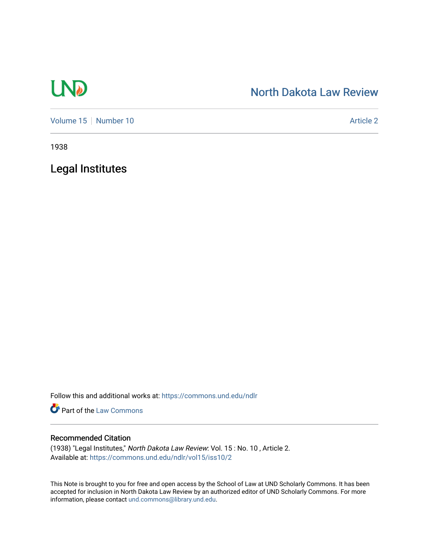# **LND**

## [North Dakota Law Review](https://commons.und.edu/ndlr)

[Volume 15](https://commons.und.edu/ndlr/vol15) [Number 10](https://commons.und.edu/ndlr/vol15/iss10) Article 2

1938

Legal Institutes

Follow this and additional works at: [https://commons.und.edu/ndlr](https://commons.und.edu/ndlr?utm_source=commons.und.edu%2Fndlr%2Fvol15%2Fiss10%2F2&utm_medium=PDF&utm_campaign=PDFCoverPages) 

Part of the [Law Commons](http://network.bepress.com/hgg/discipline/578?utm_source=commons.und.edu%2Fndlr%2Fvol15%2Fiss10%2F2&utm_medium=PDF&utm_campaign=PDFCoverPages)

### Recommended Citation

(1938) "Legal Institutes," North Dakota Law Review: Vol. 15 : No. 10 , Article 2. Available at: [https://commons.und.edu/ndlr/vol15/iss10/2](https://commons.und.edu/ndlr/vol15/iss10/2?utm_source=commons.und.edu%2Fndlr%2Fvol15%2Fiss10%2F2&utm_medium=PDF&utm_campaign=PDFCoverPages) 

This Note is brought to you for free and open access by the School of Law at UND Scholarly Commons. It has been accepted for inclusion in North Dakota Law Review by an authorized editor of UND Scholarly Commons. For more information, please contact [und.commons@library.und.edu.](mailto:und.commons@library.und.edu)